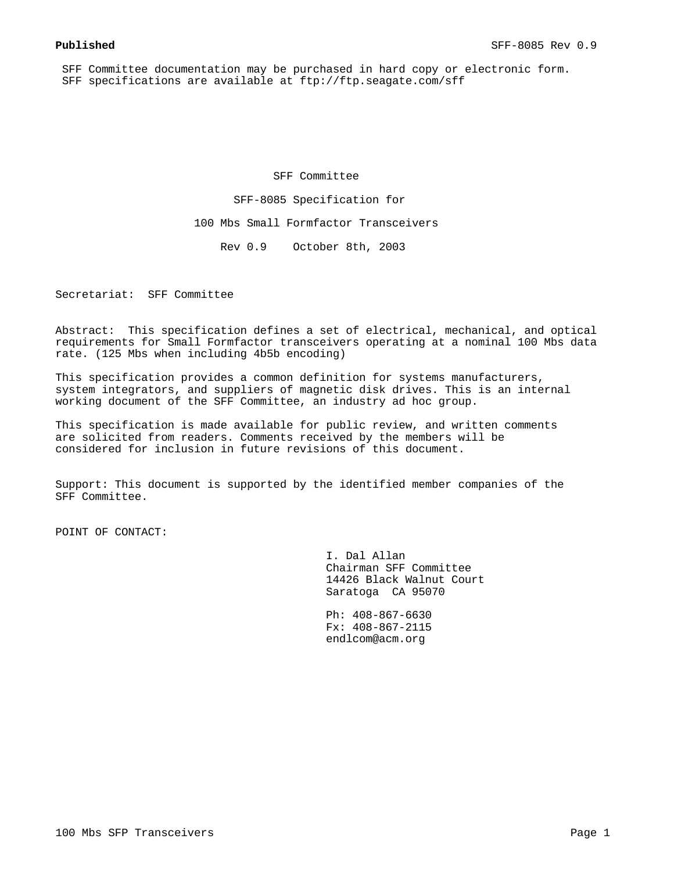SFF Committee documentation may be purchased in hard copy or electronic form. SFF specifications are available at ftp://ftp.seagate.com/sff

SFF Committee

SFF-8085 Specification for

100 Mbs Small Formfactor Transceivers

Rev 0.9 October 8th, 2003

Secretariat: SFF Committee

Abstract: This specification defines a set of electrical, mechanical, and optical requirements for Small Formfactor transceivers operating at a nominal 100 Mbs data rate. (125 Mbs when including 4b5b encoding)

This specification provides a common definition for systems manufacturers, system integrators, and suppliers of magnetic disk drives. This is an internal working document of the SFF Committee, an industry ad hoc group.

This specification is made available for public review, and written comments are solicited from readers. Comments received by the members will be considered for inclusion in future revisions of this document.

Support: This document is supported by the identified member companies of the SFF Committee.

POINT OF CONTACT:

 I. Dal Allan Chairman SFF Committee 14426 Black Walnut Court Saratoga CA 95070

 Ph: 408-867-6630 Fx: 408-867-2115 endlcom@acm.org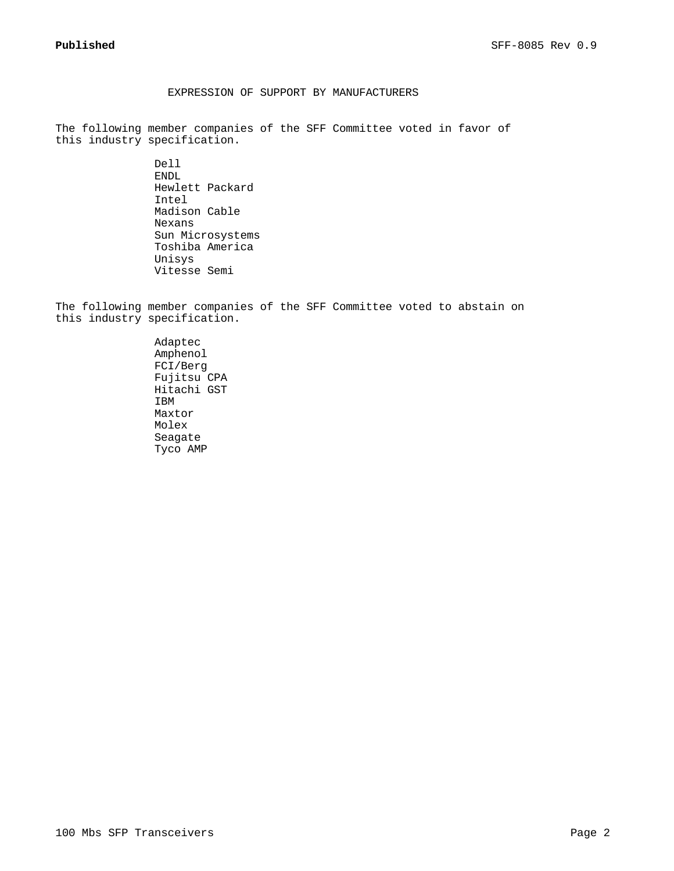## EXPRESSION OF SUPPORT BY MANUFACTURERS

The following member companies of the SFF Committee voted in favor of this industry specification.

> Dell ENDL Hewlett Packard Intel Madison Cable Nexans Sun Microsystems Toshiba America Unisys Vitesse Semi

The following member companies of the SFF Committee voted to abstain on this industry specification.

> Adaptec Amphenol FCI/Berg Fujitsu CPA Hitachi GST IBM Maxtor Molex Seagate Tyco AMP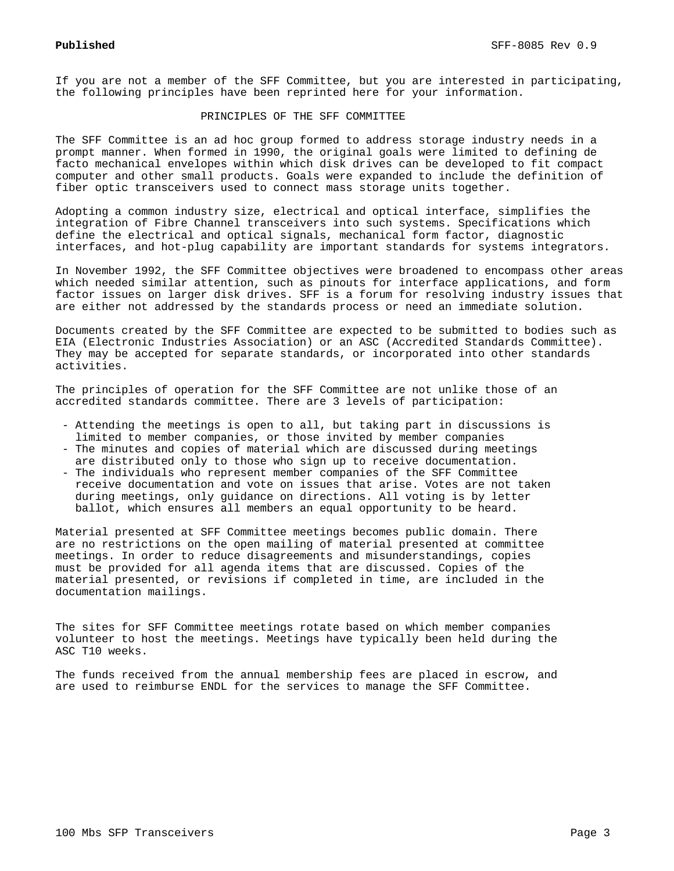If you are not a member of the SFF Committee, but you are interested in participating, the following principles have been reprinted here for your information.

## PRINCIPLES OF THE SFF COMMITTEE

The SFF Committee is an ad hoc group formed to address storage industry needs in a prompt manner. When formed in 1990, the original goals were limited to defining de facto mechanical envelopes within which disk drives can be developed to fit compact computer and other small products. Goals were expanded to include the definition of fiber optic transceivers used to connect mass storage units together.

Adopting a common industry size, electrical and optical interface, simplifies the integration of Fibre Channel transceivers into such systems. Specifications which define the electrical and optical signals, mechanical form factor, diagnostic interfaces, and hot-plug capability are important standards for systems integrators.

In November 1992, the SFF Committee objectives were broadened to encompass other areas which needed similar attention, such as pinouts for interface applications, and form factor issues on larger disk drives. SFF is a forum for resolving industry issues that are either not addressed by the standards process or need an immediate solution.

Documents created by the SFF Committee are expected to be submitted to bodies such as EIA (Electronic Industries Association) or an ASC (Accredited Standards Committee). They may be accepted for separate standards, or incorporated into other standards activities.

The principles of operation for the SFF Committee are not unlike those of an accredited standards committee. There are 3 levels of participation:

- Attending the meetings is open to all, but taking part in discussions is limited to member companies, or those invited by member companies
- The minutes and copies of material which are discussed during meetings are distributed only to those who sign up to receive documentation.
- The individuals who represent member companies of the SFF Committee receive documentation and vote on issues that arise. Votes are not taken during meetings, only guidance on directions. All voting is by letter ballot, which ensures all members an equal opportunity to be heard.

Material presented at SFF Committee meetings becomes public domain. There are no restrictions on the open mailing of material presented at committee meetings. In order to reduce disagreements and misunderstandings, copies must be provided for all agenda items that are discussed. Copies of the material presented, or revisions if completed in time, are included in the documentation mailings.

The sites for SFF Committee meetings rotate based on which member companies volunteer to host the meetings. Meetings have typically been held during the ASC T10 weeks.

The funds received from the annual membership fees are placed in escrow, and are used to reimburse ENDL for the services to manage the SFF Committee.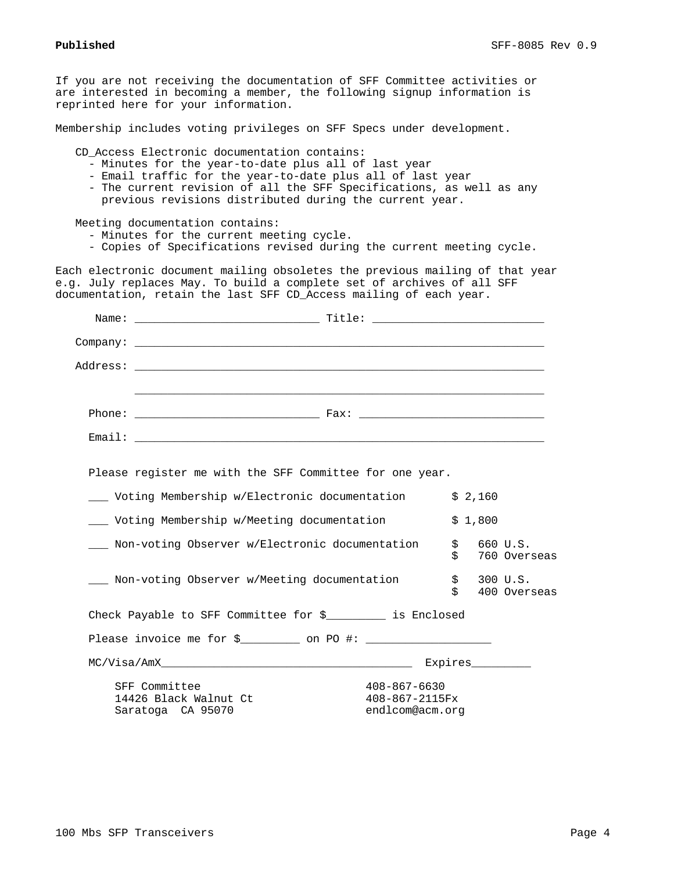If you are not receiving the documentation of SFF Committee activities or are interested in becoming a member, the following signup information is reprinted here for your information.

Membership includes voting privileges on SFF Specs under development.

CD\_Access Electronic documentation contains:

- Minutes for the year-to-date plus all of last year
- Email traffic for the year-to-date plus all of last year
- The current revision of all the SFF Specifications, as well as any previous revisions distributed during the current year.

Meeting documentation contains:

- Minutes for the current meeting cycle.
- Copies of Specifications revised during the current meeting cycle.

Each electronic document mailing obsoletes the previous mailing of that year e.g. July replaces May. To build a complete set of archives of all SFF documentation, retain the last SFF CD\_Access mailing of each year.

| Company: the company of the contract of the contract of the contract of the contract of the contract of the contract of the contract of the contract of the contract of the contract of the contract of the contract of the co |                                                   |          |         |                            |
|--------------------------------------------------------------------------------------------------------------------------------------------------------------------------------------------------------------------------------|---------------------------------------------------|----------|---------|----------------------------|
|                                                                                                                                                                                                                                |                                                   |          |         |                            |
|                                                                                                                                                                                                                                |                                                   |          |         |                            |
|                                                                                                                                                                                                                                |                                                   |          |         |                            |
|                                                                                                                                                                                                                                |                                                   |          |         |                            |
| Please register me with the SFF Committee for one year.                                                                                                                                                                        |                                                   |          |         |                            |
| ___ Voting Membership w/Electronic documentation                                                                                                                                                                               |                                                   |          | \$2,160 |                            |
| ____ Voting Membership w/Meeting documentation                                                                                                                                                                                 |                                                   |          | \$1,800 |                            |
| ___ Non-voting Observer w/Electronic documentation                                                                                                                                                                             |                                                   | \$<br>\$ |         | 660 U.S.<br>760 Overseas   |
| ___ Non-voting Observer w/Meeting documentation                                                                                                                                                                                |                                                   | Ŝ.       |         | \$300 U.S.<br>400 Overseas |
| Check Payable to SFF Committee for \$_________ is Enclosed                                                                                                                                                                     |                                                   |          |         |                            |
|                                                                                                                                                                                                                                |                                                   |          |         |                            |
|                                                                                                                                                                                                                                |                                                   |          |         |                            |
| SFF Committee<br>14426 Black Walnut Ct<br>Saratoga CA 95070                                                                                                                                                                    | 408-867-6630<br>408-867-2115Fx<br>endlcom@acm.org |          |         |                            |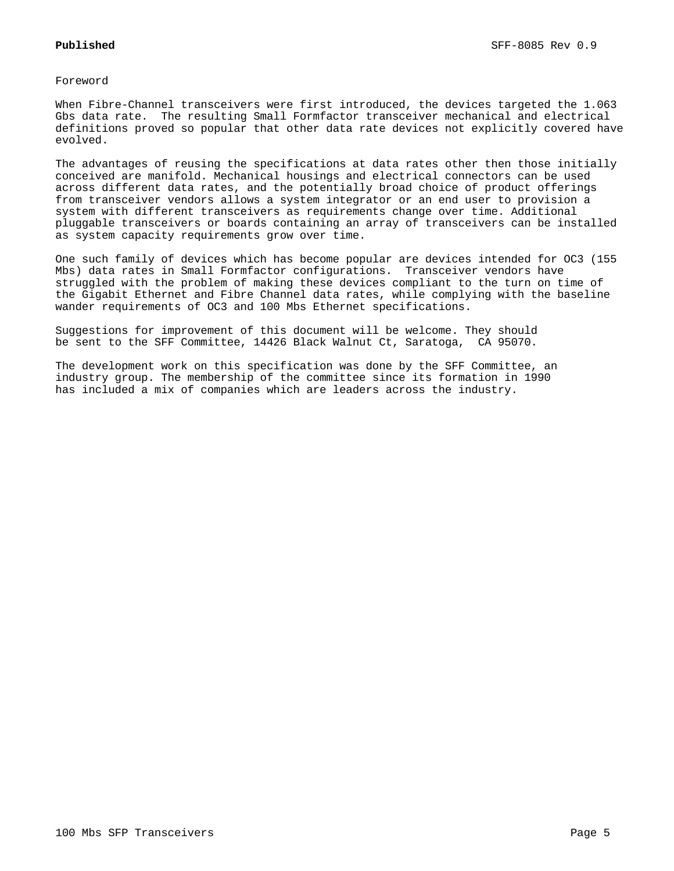Foreword

When Fibre-Channel transceivers were first introduced, the devices targeted the 1.063 Gbs data rate. The resulting Small Formfactor transceiver mechanical and electrical definitions proved so popular that other data rate devices not explicitly covered have evolved.

The advantages of reusing the specifications at data rates other then those initially conceived are manifold. Mechanical housings and electrical connectors can be used across different data rates, and the potentially broad choice of product offerings from transceiver vendors allows a system integrator or an end user to provision a system with different transceivers as requirements change over time. Additional pluggable transceivers or boards containing an array of transceivers can be installed as system capacity requirements grow over time.

One such family of devices which has become popular are devices intended for OC3 (155 Mbs) data rates in Small Formfactor configurations. Transceiver vendors have struggled with the problem of making these devices compliant to the turn on time of the Gigabit Ethernet and Fibre Channel data rates, while complying with the baseline wander requirements of OC3 and 100 Mbs Ethernet specifications.

Suggestions for improvement of this document will be welcome. They should be sent to the SFF Committee, 14426 Black Walnut Ct, Saratoga, CA 95070.

The development work on this specification was done by the SFF Committee, an industry group. The membership of the committee since its formation in 1990 has included a mix of companies which are leaders across the industry.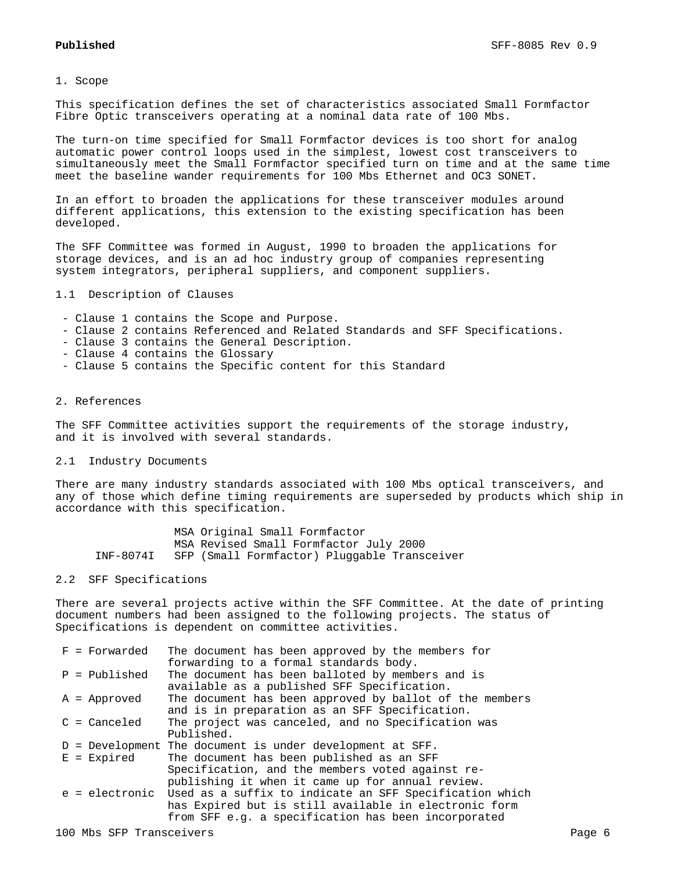1. Scope

This specification defines the set of characteristics associated Small Formfactor Fibre Optic transceivers operating at a nominal data rate of 100 Mbs.

The turn-on time specified for Small Formfactor devices is too short for analog automatic power control loops used in the simplest, lowest cost transceivers to simultaneously meet the Small Formfactor specified turn on time and at the same time meet the baseline wander requirements for 100 Mbs Ethernet and OC3 SONET.

In an effort to broaden the applications for these transceiver modules around different applications, this extension to the existing specification has been developed.

The SFF Committee was formed in August, 1990 to broaden the applications for storage devices, and is an ad hoc industry group of companies representing system integrators, peripheral suppliers, and component suppliers.

1.1 Description of Clauses

- Clause 1 contains the Scope and Purpose.
- Clause 2 contains Referenced and Related Standards and SFF Specifications.
- Clause 3 contains the General Description.
- Clause 4 contains the Glossary
- Clause 5 contains the Specific content for this Standard

## 2. References

The SFF Committee activities support the requirements of the storage industry, and it is involved with several standards.

#### 2.1 Industry Documents

There are many industry standards associated with 100 Mbs optical transceivers, and any of those which define timing requirements are superseded by products which ship in accordance with this specification.

 MSA Original Small Formfactor MSA Revised Small Formfactor July 2000 INF-8074I SFP (Small Formfactor) Pluggable Transceiver

### 2.2 SFF Specifications

There are several projects active within the SFF Committee. At the date of printing document numbers had been assigned to the following projects. The status of Specifications is dependent on committee activities.

| $F = Forwarded$        | The document has been approved by the members for                      |
|------------------------|------------------------------------------------------------------------|
|                        | forwarding to a formal standards body.                                 |
| $P = \text{Published}$ | The document has been balloted by members and is                       |
|                        | available as a published SFF Specification.                            |
| $A =$ Approved         | The document has been approved by ballot of the members                |
|                        | and is in preparation as an SFF Specification.                         |
| $C = C$ anceled        | The project was canceled, and no Specification was                     |
|                        | Published.                                                             |
|                        | $D =$ Development The document is under development at SFF.            |
| $E = Expixel$          | The document has been published as an SFF                              |
|                        | Specification, and the members voted against re-                       |
|                        | publishing it when it came up for annual review.                       |
|                        | e = electronic Used as a suffix to indicate an SFF Specification which |
|                        | has Expired but is still available in electronic form                  |
|                        | from SFF e.g. a specification has been incorporated                    |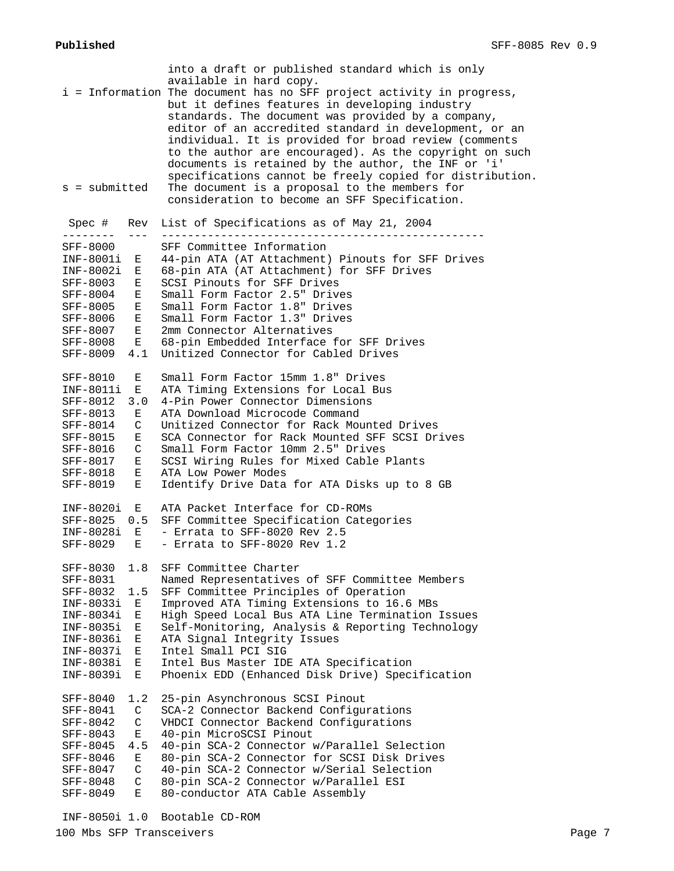| s = submitted                    | into a draft or published standard which is only<br>available in hard copy.<br>i = Information The document has no SFF project activity in progress,<br>but it defines features in developing industry<br>standards. The document was provided by a company,<br>editor of an accredited standard in development, or an<br>individual. It is provided for broad review (comments<br>to the author are encouraged). As the copyright on such<br>documents is retained by the author, the INF or 'i'<br>specifications cannot be freely copied for distribution.<br>The document is a proposal to the members for<br>consideration to become an SFF Specification. |
|----------------------------------|-----------------------------------------------------------------------------------------------------------------------------------------------------------------------------------------------------------------------------------------------------------------------------------------------------------------------------------------------------------------------------------------------------------------------------------------------------------------------------------------------------------------------------------------------------------------------------------------------------------------------------------------------------------------|
| Spec #<br>Rev<br>---------       | List of Specifications as of May 21, 2004                                                                                                                                                                                                                                                                                                                                                                                                                                                                                                                                                                                                                       |
| SFF-8000                         | SFF Committee Information                                                                                                                                                                                                                                                                                                                                                                                                                                                                                                                                                                                                                                       |
| INF-8001i<br>Е                   | 44-pin ATA (AT Attachment) Pinouts for SFF Drives                                                                                                                                                                                                                                                                                                                                                                                                                                                                                                                                                                                                               |
| INF-8002i<br>Е                   | 68-pin ATA (AT Attachment) for SFF Drives                                                                                                                                                                                                                                                                                                                                                                                                                                                                                                                                                                                                                       |
| SFF-8003<br>Е                    | SCSI Pinouts for SFF Drives                                                                                                                                                                                                                                                                                                                                                                                                                                                                                                                                                                                                                                     |
| <b>SFF-8004</b><br>Е             | Small Form Factor 2.5" Drives                                                                                                                                                                                                                                                                                                                                                                                                                                                                                                                                                                                                                                   |
| <b>SFF-8005</b><br>Е             | Small Form Factor 1.8" Drives                                                                                                                                                                                                                                                                                                                                                                                                                                                                                                                                                                                                                                   |
| SFF-8006<br>Е                    | Small Form Factor 1.3" Drives                                                                                                                                                                                                                                                                                                                                                                                                                                                                                                                                                                                                                                   |
| E<br>SFF-8007                    | 2mm Connector Alternatives                                                                                                                                                                                                                                                                                                                                                                                                                                                                                                                                                                                                                                      |
| <b>SFF-8008</b><br>Е             | 68-pin Embedded Interface for SFF Drives                                                                                                                                                                                                                                                                                                                                                                                                                                                                                                                                                                                                                        |
| 4.1<br>SFF-8009                  | Unitized Connector for Cabled Drives                                                                                                                                                                                                                                                                                                                                                                                                                                                                                                                                                                                                                            |
| SFF-8010<br>Е                    | Small Form Factor 15mm 1.8" Drives                                                                                                                                                                                                                                                                                                                                                                                                                                                                                                                                                                                                                              |
| INF-8011i<br>Е                   | ATA Timing Extensions for Local Bus                                                                                                                                                                                                                                                                                                                                                                                                                                                                                                                                                                                                                             |
| SFF-8012<br>3.0                  | 4-Pin Power Connector Dimensions                                                                                                                                                                                                                                                                                                                                                                                                                                                                                                                                                                                                                                |
| SFF-8013<br>Е                    | ATA Download Microcode Command                                                                                                                                                                                                                                                                                                                                                                                                                                                                                                                                                                                                                                  |
| C<br>SFF-8014                    | Unitized Connector for Rack Mounted Drives                                                                                                                                                                                                                                                                                                                                                                                                                                                                                                                                                                                                                      |
| SFF-8015<br>Е                    | SCA Connector for Rack Mounted SFF SCSI Drives                                                                                                                                                                                                                                                                                                                                                                                                                                                                                                                                                                                                                  |
| SFF-8016<br>C                    | Small Form Factor 10mm 2.5" Drives                                                                                                                                                                                                                                                                                                                                                                                                                                                                                                                                                                                                                              |
| SFF-8017<br>Е                    | SCSI Wiring Rules for Mixed Cable Plants                                                                                                                                                                                                                                                                                                                                                                                                                                                                                                                                                                                                                        |
| Ε<br>SFF-8018                    | ATA Low Power Modes                                                                                                                                                                                                                                                                                                                                                                                                                                                                                                                                                                                                                                             |
| SFF-8019<br>Е                    | Identify Drive Data for ATA Disks up to 8 GB                                                                                                                                                                                                                                                                                                                                                                                                                                                                                                                                                                                                                    |
| INF-8020i<br>Е                   | ATA Packet Interface for CD-ROMs                                                                                                                                                                                                                                                                                                                                                                                                                                                                                                                                                                                                                                |
| SFF-8025<br>0.5                  | SFF Committee Specification Categories                                                                                                                                                                                                                                                                                                                                                                                                                                                                                                                                                                                                                          |
| INF-8028i<br>E                   | - Errata to SFF-8020 Rev 2.5                                                                                                                                                                                                                                                                                                                                                                                                                                                                                                                                                                                                                                    |
| E<br>SFF-8029                    | - Errata to SFF-8020 Rev 1.2                                                                                                                                                                                                                                                                                                                                                                                                                                                                                                                                                                                                                                    |
| SFF-8030<br>1.8                  | SFF Committee Charter                                                                                                                                                                                                                                                                                                                                                                                                                                                                                                                                                                                                                                           |
| SFF-8031                         | Named Representatives of SFF Committee Members                                                                                                                                                                                                                                                                                                                                                                                                                                                                                                                                                                                                                  |
| 1.5<br><b>SFF-8032</b>           | SFF Committee Principles of Operation                                                                                                                                                                                                                                                                                                                                                                                                                                                                                                                                                                                                                           |
| INF-8033i<br>Е                   | Improved ATA Timing Extensions to 16.6 MBs                                                                                                                                                                                                                                                                                                                                                                                                                                                                                                                                                                                                                      |
| $INF-8034i$<br>Е                 | High Speed Local Bus ATA Line Termination Issues                                                                                                                                                                                                                                                                                                                                                                                                                                                                                                                                                                                                                |
| INF-8035i<br>Е                   | Self-Monitoring, Analysis & Reporting Technology                                                                                                                                                                                                                                                                                                                                                                                                                                                                                                                                                                                                                |
| INF-8036i<br>E                   | ATA Signal Integrity Issues                                                                                                                                                                                                                                                                                                                                                                                                                                                                                                                                                                                                                                     |
| INF-8037i<br>Е                   | Intel Small PCI SIG                                                                                                                                                                                                                                                                                                                                                                                                                                                                                                                                                                                                                                             |
| INF-8038i<br>Ε<br>INF-8039i<br>E | Intel Bus Master IDE ATA Specification<br>Phoenix EDD (Enhanced Disk Drive) Specification                                                                                                                                                                                                                                                                                                                                                                                                                                                                                                                                                                       |
|                                  |                                                                                                                                                                                                                                                                                                                                                                                                                                                                                                                                                                                                                                                                 |
| SFF-8040<br>1.2                  | 25-pin Asynchronous SCSI Pinout                                                                                                                                                                                                                                                                                                                                                                                                                                                                                                                                                                                                                                 |
| C<br>SFF-8041                    | SCA-2 Connector Backend Configurations                                                                                                                                                                                                                                                                                                                                                                                                                                                                                                                                                                                                                          |
| $\mathsf{C}$<br>SFF-8042         | VHDCI Connector Backend Configurations                                                                                                                                                                                                                                                                                                                                                                                                                                                                                                                                                                                                                          |
| SFF-8043<br>$E_{\perp}$          | 40-pin MicroSCSI Pinout                                                                                                                                                                                                                                                                                                                                                                                                                                                                                                                                                                                                                                         |
| SFF-8045<br>4.5                  | 40-pin SCA-2 Connector w/Parallel Selection                                                                                                                                                                                                                                                                                                                                                                                                                                                                                                                                                                                                                     |
| SFF-8046<br>Е                    | 80-pin SCA-2 Connector for SCSI Disk Drives                                                                                                                                                                                                                                                                                                                                                                                                                                                                                                                                                                                                                     |
| C<br>SFF-8047<br>C<br>SFF-8048   | 40-pin SCA-2 Connector w/Serial Selection<br>80-pin SCA-2 Connector w/Parallel ESI                                                                                                                                                                                                                                                                                                                                                                                                                                                                                                                                                                              |
| E<br>SFF-8049                    | 80-conductor ATA Cable Assembly                                                                                                                                                                                                                                                                                                                                                                                                                                                                                                                                                                                                                                 |
|                                  |                                                                                                                                                                                                                                                                                                                                                                                                                                                                                                                                                                                                                                                                 |

INF-8050i 1.0 Bootable CD-ROM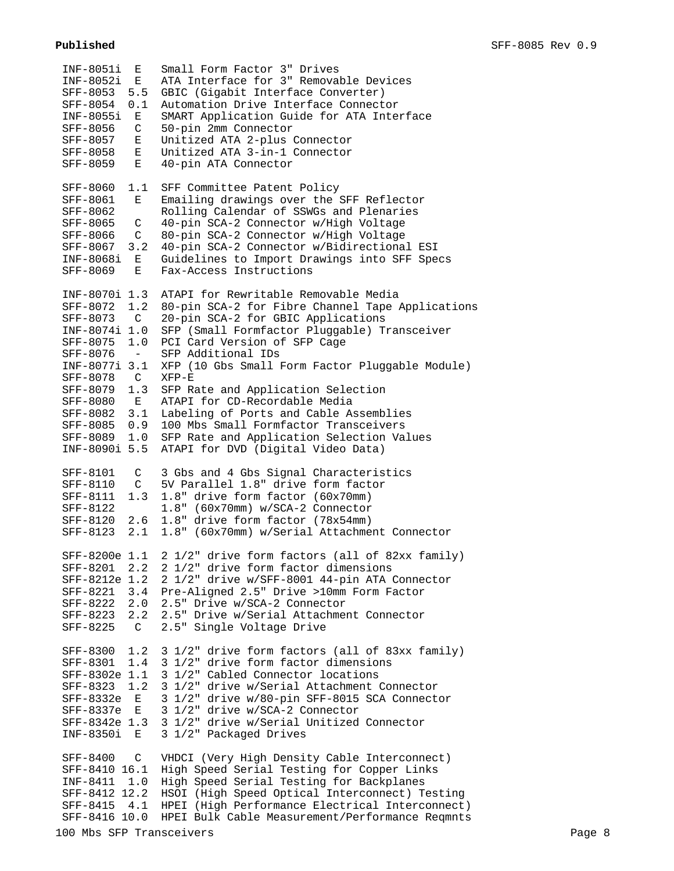| INF-8051i<br>Е<br>INF-8052i<br>E.<br>SFF-8053<br>5.5<br>SFF-8054<br>0.1<br>INF-8055i<br>E<br>SFF-8056<br>C<br>SFF-8057<br>Е<br><b>SFF-8058</b><br>E<br>E<br>SFF-8059                                                                                                                     | Small Form Factor 3" Drives<br>ATA Interface for 3" Removable Devices<br>GBIC (Gigabit Interface Converter)<br>Automation Drive Interface Connector<br>SMART Application Guide for ATA Interface<br>50-pin 2mm Connector<br>Unitized ATA 2-plus Connector<br>Unitized ATA 3-in-1 Connector<br>40-pin ATA Connector                                                                                                                                                                                                                              |
|------------------------------------------------------------------------------------------------------------------------------------------------------------------------------------------------------------------------------------------------------------------------------------------|-------------------------------------------------------------------------------------------------------------------------------------------------------------------------------------------------------------------------------------------------------------------------------------------------------------------------------------------------------------------------------------------------------------------------------------------------------------------------------------------------------------------------------------------------|
| SFF-8060<br>1.1<br>SFF-8061<br>E<br>SFF-8062<br>SFF-8065<br>C<br>$\mathsf{C}$<br>SFF-8066<br>3.2<br>SFF-8067<br>E<br>INF-8068i<br>SFF-8069<br>E                                                                                                                                          | SFF Committee Patent Policy<br>Emailing drawings over the SFF Reflector<br>Rolling Calendar of SSWGs and Plenaries<br>40-pin SCA-2 Connector w/High Voltage<br>80-pin SCA-2 Connector w/High Voltage<br>40-pin SCA-2 Connector w/Bidirectional ESI<br>Guidelines to Import Drawings into SFF Specs<br>Fax-Access Instructions                                                                                                                                                                                                                   |
| INF-8070i 1.3<br>1.2<br>SFF-8072<br>$\mathbf C$<br>SFF-8073<br>INF-8074i 1.0<br>1.0<br>SFF-8075<br>SFF-8076<br>$\sim$ $ \sim$<br>INF-8077i 3.1<br>SFF-8078<br>$\mathbb{C}$<br>SFF-8079<br>1.3<br>SFF-8080<br>E<br>3.1<br>SFF-8082<br>0.9<br>SFF-8085<br>SFF-8089<br>1.0<br>INF-8090i 5.5 | ATAPI for Rewritable Removable Media<br>80-pin SCA-2 for Fibre Channel Tape Applications<br>20-pin SCA-2 for GBIC Applications<br>SFP (Small Formfactor Pluggable) Transceiver<br>PCI Card Version of SFP Cage<br>SFP Additional IDs<br>XFP (10 Gbs Small Form Factor Pluggable Module)<br>$XFP-E$<br>SFP Rate and Application Selection<br>ATAPI for CD-Recordable Media<br>Labeling of Ports and Cable Assemblies<br>100 Mbs Small Formfactor Transceivers<br>SFP Rate and Application Selection Values<br>ATAPI for DVD (Digital Video Data) |
| SFF-8101<br>C<br>SFF-8110<br>$\mathsf{C}$<br>1.3<br>SFF-8111<br>SFF-8122<br>2.6<br>SFF-8120<br>2.1<br>SFF-8123                                                                                                                                                                           | 3 Gbs and 4 Gbs Signal Characteristics<br>5V Parallel 1.8" drive form factor<br>1.8" drive form factor (60x70mm)<br>1.8" (60x70mm) w/SCA-2 Connector<br>1.8" drive form factor (78x54mm)<br>1.8" (60x70mm) w/Serial Attachment Connector                                                                                                                                                                                                                                                                                                        |
| SFF-8200e 1.1<br>SFF-8201<br>2.2<br>SFF-8221 3.4<br>SFF-8222 2.0<br>SFF-8223<br>2.2<br>SFF-8225<br>$\mathbb{C}$                                                                                                                                                                          | 2 1/2" drive form factors (all of 82xx family)<br>2 1/2" drive form factor dimensions<br>SFF-8212e 1.2 2 1/2" drive w/SFF-8001 44-pin ATA Connector<br>Pre-Aligned 2.5" Drive >10mm Form Factor<br>2.5" Drive w/SCA-2 Connector<br>2.5" Drive w/Serial Attachment Connector<br>2.5" Single Voltage Drive                                                                                                                                                                                                                                        |
| SFF-8300<br>1.2<br>1.4<br>SFF-8301<br>SFF-8302e 1.1<br>1.2<br>SFF-8323<br>SFF-8332e E<br>SFF-8337e E<br>SFF-8342e 1.3<br>INF-8350i E                                                                                                                                                     | 3 1/2" drive form factors (all of 83xx family)<br>3 1/2" drive form factor dimensions<br>3 1/2" Cabled Connector locations<br>3 1/2" drive w/Serial Attachment Connector<br>3 1/2" drive w/80-pin SFF-8015 SCA Connector<br>3 1/2" drive w/SCA-2 Connector<br>3 1/2" drive w/Serial Unitized Connector<br>3 1/2" Packaged Drives                                                                                                                                                                                                                |
| SFF-8400<br>$\mathsf{C}$<br>SFF-8410 16.1<br>INF-8411 1.0<br>SFF-8412 12.2<br>SFF-8415<br>4.1                                                                                                                                                                                            | VHDCI (Very High Density Cable Interconnect)<br>High Speed Serial Testing for Copper Links<br>High Speed Serial Testing for Backplanes<br>HSOI (High Speed Optical Interconnect) Testing<br>HPEI (High Performance Electrical Interconnect)                                                                                                                                                                                                                                                                                                     |

SFF-8416 10.0 HPEI Bulk Cable Measurement/Performance Reqmnts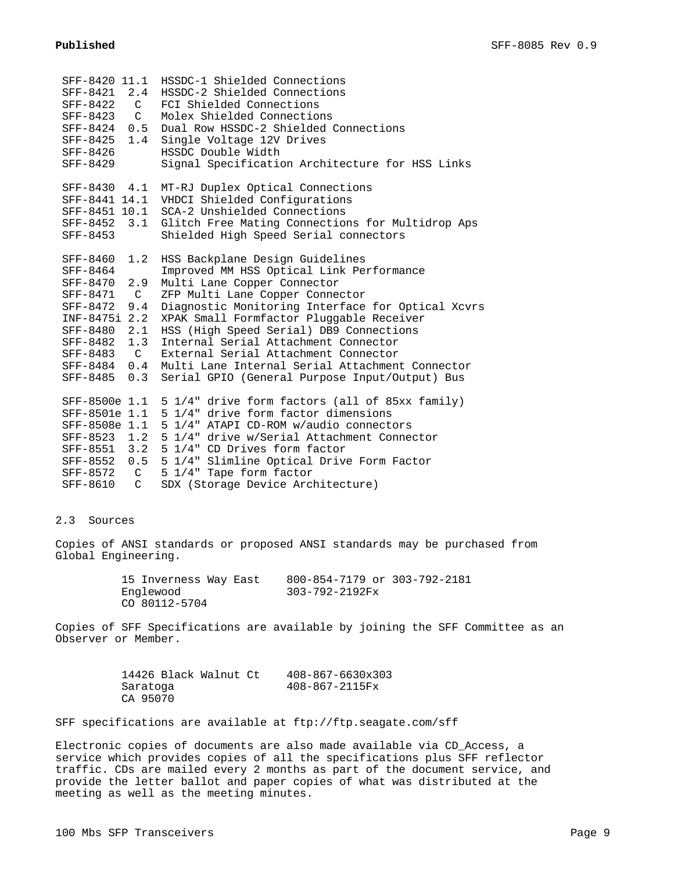| SFF-8420 11.1<br>SFF-8421<br>2.4<br>$\mathsf{C}$<br>SFF-8422<br>SFF-8423<br>$\mathcal{C}$<br>SFF-8424<br>0.5<br>SFF-8425<br>1.4<br>SFF-8426<br>SFF-8429 | HSSDC-1 Shielded Connections<br>HSSDC-2 Shielded Connections<br>FCI Shielded Connections<br>Molex Shielded Connections<br>Dual Row HSSDC-2 Shielded Connections<br>Single Voltage 12V Drives<br>HSSDC Double Width<br>Signal Specification Architecture for HSS Links |
|---------------------------------------------------------------------------------------------------------------------------------------------------------|-----------------------------------------------------------------------------------------------------------------------------------------------------------------------------------------------------------------------------------------------------------------------|
| SFF-8430 4.1                                                                                                                                            | MT-RJ Duplex Optical Connections                                                                                                                                                                                                                                      |
| SFF-8441 14.1                                                                                                                                           | VHDCI Shielded Configurations                                                                                                                                                                                                                                         |
| SFF-8451 10.1<br>SFF-8452 3.1                                                                                                                           | SCA-2 Unshielded Connections                                                                                                                                                                                                                                          |
| SFF-8453                                                                                                                                                | Glitch Free Mating Connections for Multidrop Aps<br>Shielded High Speed Serial connectors                                                                                                                                                                             |
|                                                                                                                                                         |                                                                                                                                                                                                                                                                       |
| 1.2<br>SFF-8460                                                                                                                                         | HSS Backplane Design Guidelines                                                                                                                                                                                                                                       |
| SFF-8464                                                                                                                                                | Improved MM HSS Optical Link Performance                                                                                                                                                                                                                              |
| 2.9<br>SFF-8470                                                                                                                                         | Multi Lane Copper Connector                                                                                                                                                                                                                                           |
| $\overline{C}$<br>SFF-8471                                                                                                                              | ZFP Multi Lane Copper Connector                                                                                                                                                                                                                                       |
| SFF-8472<br>9.4                                                                                                                                         | Diagnostic Monitoring Interface for Optical Xcvrs                                                                                                                                                                                                                     |
| INF-8475i 2.2                                                                                                                                           | XPAK Small Formfactor Pluggable Receiver                                                                                                                                                                                                                              |
| SFF-8480<br>2.1                                                                                                                                         | HSS (High Speed Serial) DB9 Connections                                                                                                                                                                                                                               |
| 1.3<br>SFF-8482                                                                                                                                         | Internal Serial Attachment Connector                                                                                                                                                                                                                                  |
| SFF-8483<br>$\mathcal{C}$                                                                                                                               | External Serial Attachment Connector                                                                                                                                                                                                                                  |
| 0.4<br>SFF-8484                                                                                                                                         | Multi Lane Internal Serial Attachment Connector                                                                                                                                                                                                                       |
| 0.3<br>SFF-8485                                                                                                                                         | Serial GPIO (General Purpose Input/Output) Bus                                                                                                                                                                                                                        |
| SFF-8500e 1.1                                                                                                                                           |                                                                                                                                                                                                                                                                       |
| SFF-8501e 1.1                                                                                                                                           | 5 1/4" drive form factors (all of 85xx family)<br>5 1/4" drive form factor dimensions                                                                                                                                                                                 |
| SFF-8508e 1.1                                                                                                                                           | 5 1/4" ATAPI CD-ROM w/audio connectors                                                                                                                                                                                                                                |
| SFF-8523 1.2                                                                                                                                            | 5 1/4" drive w/Serial Attachment Connector                                                                                                                                                                                                                            |
|                                                                                                                                                         | SFF-8551 3.2 5 1/4" CD Drives form factor                                                                                                                                                                                                                             |
| SFF-8552 0.5                                                                                                                                            | 5 1/4" Slimline Optical Drive Form Factor                                                                                                                                                                                                                             |
| SFF-8572 C                                                                                                                                              | 5 1/4" Tape form factor                                                                                                                                                                                                                                               |
| SFF-8610<br>$\mathcal{C}$                                                                                                                               | SDX (Storage Device Architecture)                                                                                                                                                                                                                                     |
|                                                                                                                                                         |                                                                                                                                                                                                                                                                       |

## 2.3 Sources

Copies of ANSI standards or proposed ANSI standards may be purchased from Global Engineering.

| 15 Inverness Way East | 800-854-7179 or 303-792-2181 |  |
|-----------------------|------------------------------|--|
| Englewood             | 303-792-2192Fx               |  |
| CO 80112-5704         |                              |  |

Copies of SFF Specifications are available by joining the SFF Committee as an Observer or Member.

| 14426 Black Walnut Ct | $408 - 867 - 6630 \times 303$ |
|-----------------------|-------------------------------|
| Saratoga              | 408-867-2115Fx                |
| CA 95070              |                               |

SFF specifications are available at ftp://ftp.seagate.com/sff

Electronic copies of documents are also made available via CD\_Access, a service which provides copies of all the specifications plus SFF reflector traffic. CDs are mailed every 2 months as part of the document service, and provide the letter ballot and paper copies of what was distributed at the meeting as well as the meeting minutes.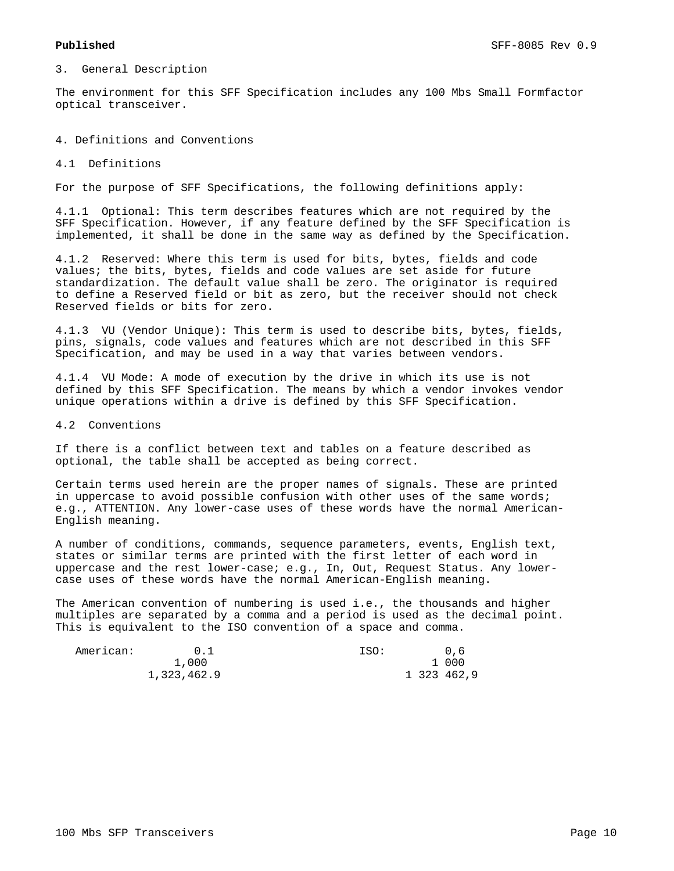3. General Description

The environment for this SFF Specification includes any 100 Mbs Small Formfactor optical transceiver.

4. Definitions and Conventions

4.1 Definitions

For the purpose of SFF Specifications, the following definitions apply:

4.1.1 Optional: This term describes features which are not required by the SFF Specification. However, if any feature defined by the SFF Specification is implemented, it shall be done in the same way as defined by the Specification.

4.1.2 Reserved: Where this term is used for bits, bytes, fields and code values; the bits, bytes, fields and code values are set aside for future standardization. The default value shall be zero. The originator is required to define a Reserved field or bit as zero, but the receiver should not check Reserved fields or bits for zero.

4.1.3 VU (Vendor Unique): This term is used to describe bits, bytes, fields, pins, signals, code values and features which are not described in this SFF Specification, and may be used in a way that varies between vendors.

4.1.4 VU Mode: A mode of execution by the drive in which its use is not defined by this SFF Specification. The means by which a vendor invokes vendor unique operations within a drive is defined by this SFF Specification.

4.2 Conventions

If there is a conflict between text and tables on a feature described as optional, the table shall be accepted as being correct.

Certain terms used herein are the proper names of signals. These are printed in uppercase to avoid possible confusion with other uses of the same words; e.g., ATTENTION. Any lower-case uses of these words have the normal American-English meaning.

A number of conditions, commands, sequence parameters, events, English text, states or similar terms are printed with the first letter of each word in uppercase and the rest lower-case; e.g., In, Out, Request Status. Any lowercase uses of these words have the normal American-English meaning.

The American convention of numbering is used i.e., the thousands and higher multiples are separated by a comma and a period is used as the decimal point. This is equivalent to the ISO convention of a space and comma.

| American: | 0.1         | ISO: | 0.6         |
|-----------|-------------|------|-------------|
|           | 1,000       |      | 1 000       |
|           | 1,323,462.9 |      | 1 323 462,9 |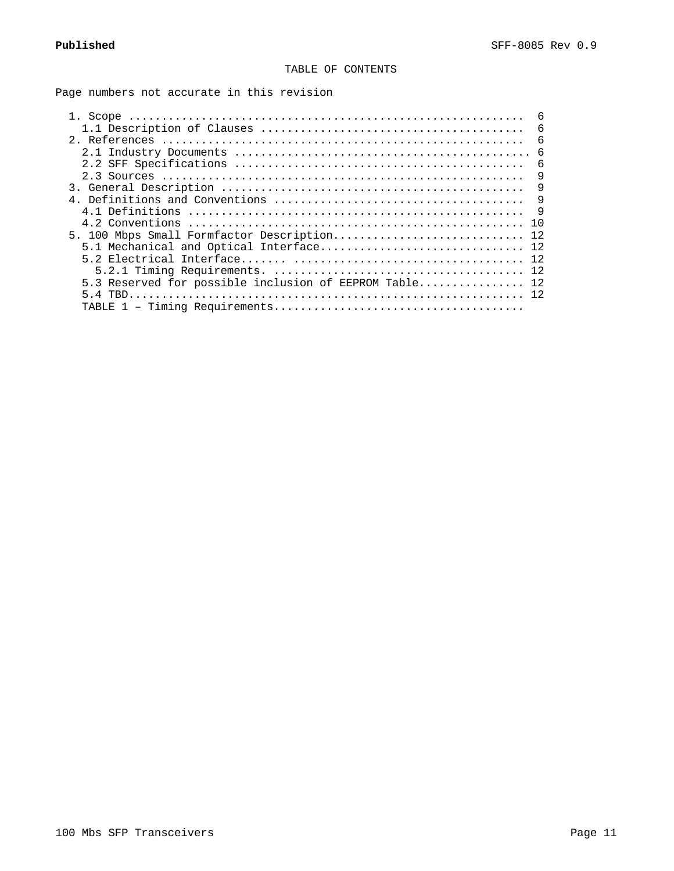# TABLE OF CONTENTS

Page numbers not accurate in this revision

|                                                        | 6          |
|--------------------------------------------------------|------------|
|                                                        | 6          |
|                                                        | $\epsilon$ |
|                                                        | 6          |
|                                                        | 6          |
|                                                        | 9          |
|                                                        | 9          |
|                                                        | 9          |
| 4.1 Definitions                                        | 9          |
|                                                        | 1 N        |
| 5. 100 Mbps Small Formfactor Description 12            |            |
| 5.1 Mechanical and Optical Interface 12                |            |
|                                                        | 12         |
|                                                        |            |
| 5.3 Reserved for possible inclusion of EEPROM Table 12 |            |
|                                                        |            |
|                                                        |            |